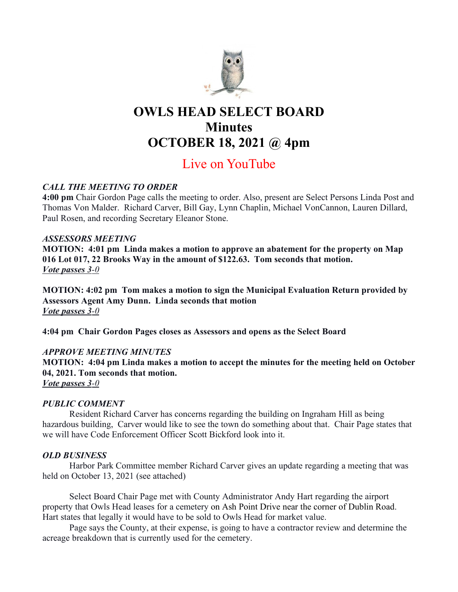

# OWLS HEAD SELECT BOARD **Minutes** OCTOBER 18, 2021 @ 4pm

## Live on YouTube

## CALL THE MEETING TO ORDER

4:00 pm Chair Gordon Page calls the meeting to order. Also, present are Select Persons Linda Post and Thomas Von Malder. Richard Carver, Bill Gay, Lynn Chaplin, Michael VonCannon, Lauren Dillard, Paul Rosen, and recording Secretary Eleanor Stone.

## ASSESSORS MEETING

MOTION: 4:01 pm Linda makes a motion to approve an abatement for the property on Map 016 Lot 017, 22 Brooks Way in the amount of \$122.63. Tom seconds that motion. Vote passes 3-0

MOTION: 4:02 pm Tom makes a motion to sign the Municipal Evaluation Return provided by Assessors Agent Amy Dunn. Linda seconds that motion Vote passes 3-0

4:04 pm Chair Gordon Pages closes as Assessors and opens as the Select Board

## APPROVE MEETING MINUTES

MOTION: 4:04 pm Linda makes a motion to accept the minutes for the meeting held on October 04, 2021. Tom seconds that motion.

Vote passes 3-0

## PUBLIC COMMENT

Resident Richard Carver has concerns regarding the building on Ingraham Hill as being hazardous building, Carver would like to see the town do something about that. Chair Page states that we will have Code Enforcement Officer Scott Bickford look into it.

## OLD BUSINESS

Harbor Park Committee member Richard Carver gives an update regarding a meeting that was held on October 13, 2021 (see attached)

Select Board Chair Page met with County Administrator Andy Hart regarding the airport property that Owls Head leases for a cemetery on Ash Point Drive near the corner of Dublin Road. Hart states that legally it would have to be sold to Owls Head for market value.

Page says the County, at their expense, is going to have a contractor review and determine the acreage breakdown that is currently used for the cemetery.